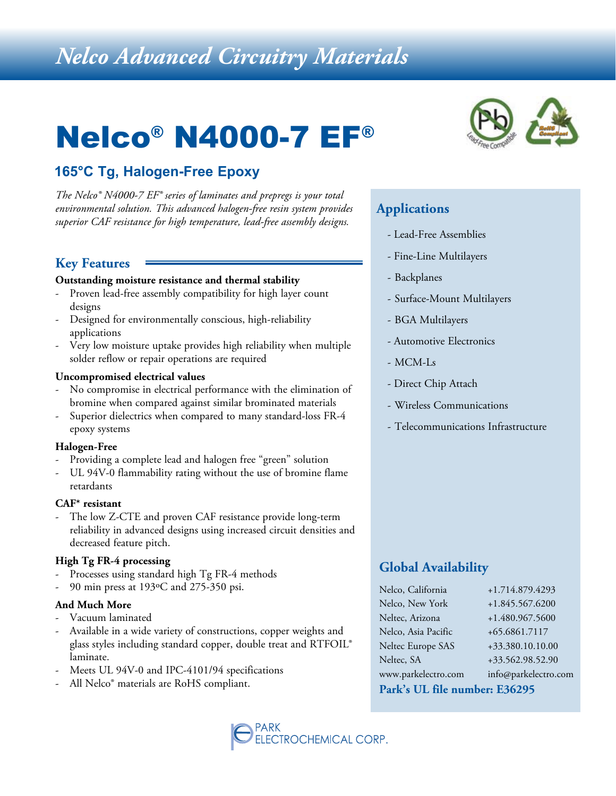# *Nelco Advanced Circuitry Materials*

# Nelco® N4000-7 EF®

# **165°C Tg, Halogen-Free Epoxy**

*The Nelco® N4000-7 EF® series of laminates and prepregs is your total environmental solution. This advanced halogen-free resin system provides superior CAF resistance for high temperature, lead-free assembly designs.*

### **Key Features**

#### **Outstanding moisture resistance and thermal stability**

- Proven lead-free assembly compatibility for high layer count designs
- Designed for environmentally conscious, high-reliability applications
- Very low moisture uptake provides high reliability when multiple solder reflow or repair operations are required

#### **Uncompromised electrical values**

- No compromise in electrical performance with the elimination of bromine when compared against similar brominated materials
- Superior dielectrics when compared to many standard-loss FR-4 epoxy systems

#### **Halogen-Free**

- Providing a complete lead and halogen free "green" solution
- UL 94V-0 flammability rating without the use of bromine flame retardants

#### **CAF\* resistant**

The low Z-CTE and proven CAF resistance provide long-term reliability in advanced designs using increased circuit densities and decreased feature pitch.

#### **High Tg FR-4 processing**

- Processes using standard high Tg FR-4 methods
- 90 min press at 193ºC and 275-350 psi.

#### **And Much More**

- Vacuum laminated
- Available in a wide variety of constructions, copper weights and glass styles including standard copper, double treat and RTFOIL® laminate.
- Meets UL 94V-0 and IPC-4101/94 specifications
- All Nelco<sup>®</sup> materials are RoHS compliant.



## **Applications**

- Lead-Free Assemblies
- Fine-Line Multilayers
- Backplanes
- Surface-Mount Multilayers
- BGA Multilayers
- Automotive Electronics
- MCM-Ls
- Direct Chip Attach
- Wireless Communications
- Telecommunications Infrastructure

### **Global Availability**

| Park's UL file number: E36295 |                      |  |  |  |  |
|-------------------------------|----------------------|--|--|--|--|
| www.parkelectro.com           | info@parkelectro.com |  |  |  |  |
| Neltec, SA                    | +33.562.98.52.90     |  |  |  |  |
| Neltec Europe SAS             | +33.380.10.10.00     |  |  |  |  |
| Nelco, Asia Pacific           | +65.6861.7117        |  |  |  |  |
| Neltec, Arizona               | +1.480.967.5600      |  |  |  |  |
| Nelco, New York               | +1.845.567.6200      |  |  |  |  |
| Nelco, California             | +1.714.879.4293      |  |  |  |  |